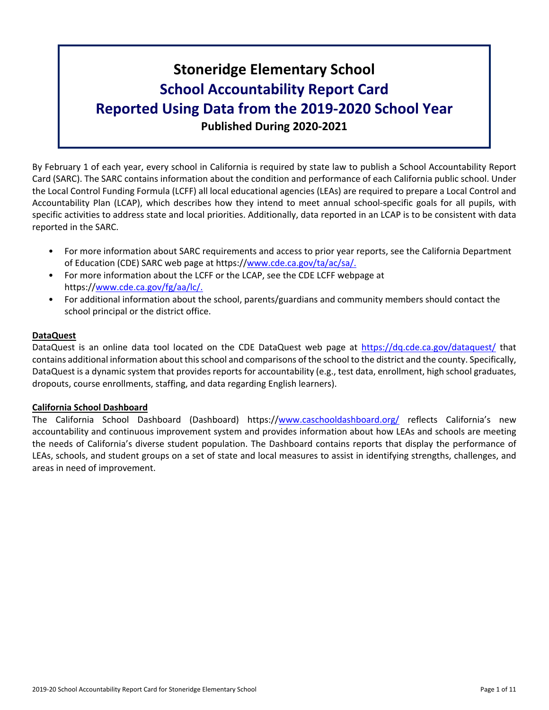# **Stoneridge Elementary School School Accountability Report Card Reported Using Data from the 2019-2020 School Year Published During 2020-2021**

By February 1 of each year, every school in California is required by state law to publish a School Accountability Report Card (SARC). The SARC contains information about the condition and performance of each California public school. Under the Local Control Funding Formula (LCFF) all local educational agencies (LEAs) are required to prepare a Local Control and Accountability Plan (LCAP), which describes how they intend to meet annual school-specific goals for all pupils, with specific activities to address state and local priorities. Additionally, data reported in an LCAP is to be consistent with data reported in the SARC.

- For more information about SARC requirements and access to prior year reports, see the California Department of Education (CDE) SARC web page at https://[www.cde.ca.gov/ta/ac/sa/.](https://www.cde.ca.gov/ta/ac/sa/)
- For more information about the LCFF or the LCAP, see the CDE LCFF webpage at https://[www.cde.ca.gov/fg/aa/lc/.](https://www.cde.ca.gov/fg/aa/lc/)
- For additional information about the school, parents/guardians and community members should contact the school principal or the district office.

### **DataQuest**

DataQuest is an online data tool located on the CDE DataQuest web page at <https://dq.cde.ca.gov/dataquest/> that contains additional information about thisschool and comparisons of the school to the district and the county. Specifically, DataQuest is a dynamic system that provides reports for accountability (e.g., test data, enrollment, high school graduates, dropouts, course enrollments, staffing, and data regarding English learners).

### **California School Dashboard**

The California School Dashboard (Dashboard) https://[www.caschooldashboard.org/](https://www.caschooldashboard.org/) reflects California's new accountability and continuous improvement system and provides information about how LEAs and schools are meeting the needs of California's diverse student population. The Dashboard contains reports that display the performance of LEAs, schools, and student groups on a set of state and local measures to assist in identifying strengths, challenges, and areas in need of improvement.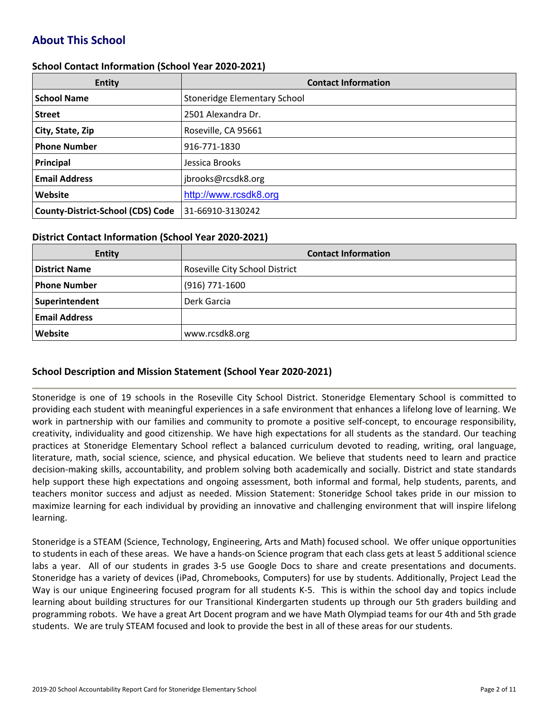# **About This School**

### **School Contact Information (School Year 2020-2021)**

| <b>Entity</b>                            | <b>Contact Information</b>   |
|------------------------------------------|------------------------------|
| <b>School Name</b>                       | Stoneridge Elementary School |
| <b>Street</b>                            | 2501 Alexandra Dr.           |
| City, State, Zip                         | Roseville, CA 95661          |
| <b>Phone Number</b>                      | 916-771-1830                 |
| Principal                                | Jessica Brooks               |
| <b>Email Address</b>                     | jbrooks@rcsdk8.org           |
| Website                                  | http://www.rcsdk8.org        |
| <b>County-District-School (CDS) Code</b> | 31-66910-3130242             |

#### **District Contact Information (School Year 2020-2021)**

| <b>Entity</b>        | <b>Contact Information</b>     |
|----------------------|--------------------------------|
| <b>District Name</b> | Roseville City School District |
| <b>Phone Number</b>  | $(916)$ 771-1600               |
| Superintendent       | Derk Garcia                    |
| <b>Email Address</b> |                                |
| Website              | www.rcsdk8.org                 |

### **School Description and Mission Statement (School Year 2020-2021)**

Stoneridge is one of 19 schools in the Roseville City School District. Stoneridge Elementary School is committed to providing each student with meaningful experiences in a safe environment that enhances a lifelong love of learning. We work in partnership with our families and community to promote a positive self-concept, to encourage responsibility, creativity, individuality and good citizenship. We have high expectations for all students as the standard. Our teaching practices at Stoneridge Elementary School reflect a balanced curriculum devoted to reading, writing, oral language, literature, math, social science, science, and physical education. We believe that students need to learn and practice decision-making skills, accountability, and problem solving both academically and socially. District and state standards help support these high expectations and ongoing assessment, both informal and formal, help students, parents, and teachers monitor success and adjust as needed. Mission Statement: Stoneridge School takes pride in our mission to maximize learning for each individual by providing an innovative and challenging environment that will inspire lifelong learning.

Stoneridge is a STEAM (Science, Technology, Engineering, Arts and Math) focused school. We offer unique opportunities to students in each of these areas. We have a hands-on Science program that each class gets at least 5 additional science labs a year. All of our students in grades 3-5 use Google Docs to share and create presentations and documents. Stoneridge has a variety of devices (iPad, Chromebooks, Computers) for use by students. Additionally, Project Lead the Way is our unique Engineering focused program for all students K-5. This is within the school day and topics include learning about building structures for our Transitional Kindergarten students up through our 5th graders building and programming robots. We have a great Art Docent program and we have Math Olympiad teams for our 4th and 5th grade students. We are truly STEAM focused and look to provide the best in all of these areas for our students.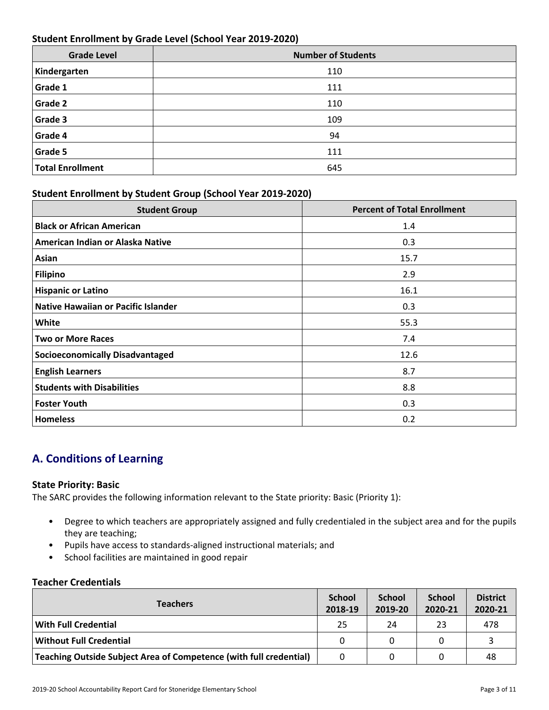### **Student Enrollment by Grade Level (School Year 2019-2020)**

| <b>Grade Level</b>      | <b>Number of Students</b> |
|-------------------------|---------------------------|
| Kindergarten            | 110                       |
| Grade 1                 | 111                       |
| Grade 2                 | 110                       |
| Grade 3                 | 109                       |
| Grade 4                 | 94                        |
| <b>Grade 5</b>          | 111                       |
| <b>Total Enrollment</b> | 645                       |

### **Student Enrollment by Student Group (School Year 2019-2020)**

| <b>Student Group</b>                   | <b>Percent of Total Enrollment</b> |
|----------------------------------------|------------------------------------|
| <b>Black or African American</b>       | 1.4                                |
| American Indian or Alaska Native       | 0.3                                |
| Asian                                  | 15.7                               |
| Filipino                               | 2.9                                |
| <b>Hispanic or Latino</b>              | 16.1                               |
| Native Hawaiian or Pacific Islander    | 0.3                                |
| White                                  | 55.3                               |
| <b>Two or More Races</b>               | 7.4                                |
| <b>Socioeconomically Disadvantaged</b> | 12.6                               |
| <b>English Learners</b>                | 8.7                                |
| <b>Students with Disabilities</b>      | 8.8                                |
| <b>Foster Youth</b>                    | 0.3                                |
| <b>Homeless</b>                        | 0.2                                |

# **A. Conditions of Learning**

### **State Priority: Basic**

The SARC provides the following information relevant to the State priority: Basic (Priority 1):

- Degree to which teachers are appropriately assigned and fully credentialed in the subject area and for the pupils they are teaching;
- Pupils have access to standards-aligned instructional materials; and
- School facilities are maintained in good repair

### **Teacher Credentials**

| <b>Teachers</b>                                                    |          | <b>School</b><br>2019-20 | <b>School</b><br>2020-21 | <b>District</b><br>2020-21 |
|--------------------------------------------------------------------|----------|--------------------------|--------------------------|----------------------------|
| With Full Credential                                               | 25       | 24                       | 23                       | 478                        |
| <b>Without Full Credential</b>                                     | $\Omega$ |                          |                          |                            |
| Teaching Outside Subject Area of Competence (with full credential) | 0        |                          |                          | 48                         |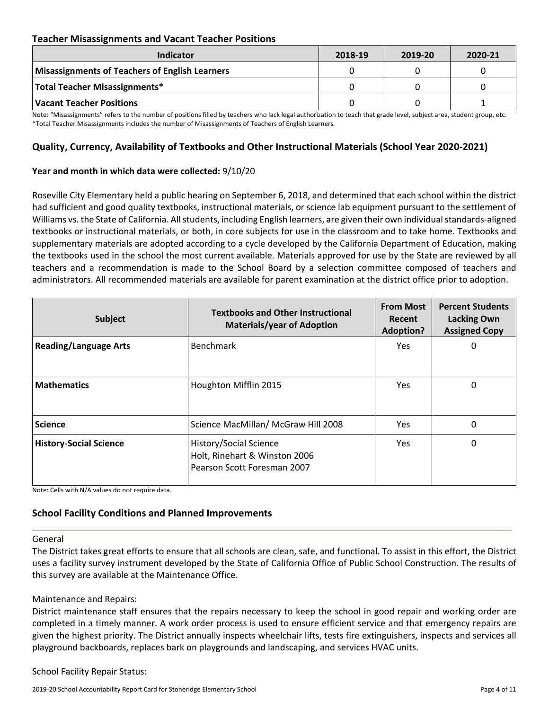### **Teacher Misassignments and Vacant Teacher Positions**

| Indicator                                      | 2018-19 | 2019-20 | 2020-21 |
|------------------------------------------------|---------|---------|---------|
| Misassignments of Teachers of English Learners |         |         |         |
| Total Teacher Misassignments*                  |         |         |         |
| Vacant Teacher Positions                       |         |         |         |

Note: "Misassignments" refers to the number of positions filled by teachers who lack legal authorization to teach that grade level, subject area, student group, etc. \*Total Teacher Misassignments includes the number of Misassignments of Teachers of English Learners.

### **Quality, Currency, Availability of Textbooks and Other Instructional Materials (School Year 2020-2021)**

#### **Year and month in which data were collected:** 9/10/20

Roseville City Elementary held a public hearing on September 6, 2018, and determined that each school within the district had sufficient and good quality textbooks, instructional materials, or science lab equipment pursuant to the settlement of Williams vs. the State of California. All students, including English learners, are given their own individual standards-aligned textbooks or instructional materials, or both, in core subjects for use in the classroom and to take home. Textbooks and supplementary materials are adopted according to a cycle developed by the California Department of Education, making the textbooks used in the school the most current available. Materials approved for use by the State are reviewed by all teachers and a recommendation is made to the School Board by a selection committee composed of teachers and administrators. All recommended materials are available for parent examination at the district office prior to adoption.

| Subject                       | <b>Textbooks and Other Instructional</b><br><b>Materials/year of Adoption</b>          | <b>From Most</b><br>Recent<br><b>Adoption?</b> | <b>Percent Students</b><br><b>Lacking Own</b><br><b>Assigned Copy</b> |
|-------------------------------|----------------------------------------------------------------------------------------|------------------------------------------------|-----------------------------------------------------------------------|
| <b>Reading/Language Arts</b>  | <b>Benchmark</b>                                                                       | <b>Yes</b>                                     | 0                                                                     |
| <b>Mathematics</b>            | Houghton Mifflin 2015                                                                  | Yes                                            | 0                                                                     |
| <b>Science</b>                | Science MacMillan/ McGraw Hill 2008                                                    | <b>Yes</b>                                     | $\Omega$                                                              |
| <b>History-Social Science</b> | History/Social Science<br>Holt, Rinehart & Winston 2006<br>Pearson Scott Foresman 2007 | Yes.                                           | 0                                                                     |

Note: Cells with N/A values do not require data.

### **School Facility Conditions and Planned Improvements**

#### General

The District takes great efforts to ensure that all schools are clean, safe, and functional. To assist in this effort, the District uses a facility survey instrument developed by the State of California Office of Public School Construction. The results of this survey are available at the Maintenance Office.

#### Maintenance and Repairs:

District maintenance staff ensures that the repairs necessary to keep the school in good repair and working order are completed in a timely manner. A work order process is used to ensure efficient service and that emergency repairs are given the highest priority. The District annually inspects wheelchair lifts, tests fire extinguishers, inspects and services all playground backboards, replaces bark on playgrounds and landscaping, and services HVAC units.

School Facility Repair Status: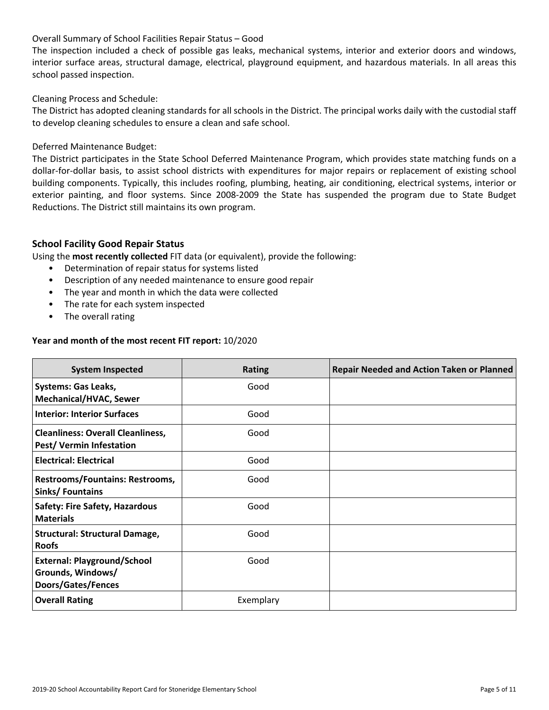### Overall Summary of School Facilities Repair Status – Good

The inspection included a check of possible gas leaks, mechanical systems, interior and exterior doors and windows, interior surface areas, structural damage, electrical, playground equipment, and hazardous materials. In all areas this school passed inspection.

#### Cleaning Process and Schedule:

The District has adopted cleaning standards for all schools in the District. The principal works daily with the custodial staff to develop cleaning schedules to ensure a clean and safe school.

#### Deferred Maintenance Budget:

The District participates in the State School Deferred Maintenance Program, which provides state matching funds on a dollar-for-dollar basis, to assist school districts with expenditures for major repairs or replacement of existing school building components. Typically, this includes roofing, plumbing, heating, air conditioning, electrical systems, interior or exterior painting, and floor systems. Since 2008-2009 the State has suspended the program due to State Budget Reductions. The District still maintains its own program.

### **School Facility Good Repair Status**

Using the **most recently collected** FIT data (or equivalent), provide the following:

- Determination of repair status for systems listed
- Description of any needed maintenance to ensure good repair
- The year and month in which the data were collected
- The rate for each system inspected
- The overall rating

#### **Year and month of the most recent FIT report:** 10/2020

| <b>System Inspected</b>                                                              | <b>Rating</b> | <b>Repair Needed and Action Taken or Planned</b> |
|--------------------------------------------------------------------------------------|---------------|--------------------------------------------------|
| <b>Systems: Gas Leaks,</b><br><b>Mechanical/HVAC, Sewer</b>                          | Good          |                                                  |
| <b>Interior: Interior Surfaces</b>                                                   | Good          |                                                  |
| <b>Cleanliness: Overall Cleanliness,</b><br><b>Pest/ Vermin Infestation</b>          | Good          |                                                  |
| <b>Electrical: Electrical</b>                                                        | Good          |                                                  |
| <b>Restrooms/Fountains: Restrooms,</b><br>Sinks/Fountains                            | Good          |                                                  |
| <b>Safety: Fire Safety, Hazardous</b><br><b>Materials</b>                            | Good          |                                                  |
| <b>Structural: Structural Damage,</b><br><b>Roofs</b>                                | Good          |                                                  |
| <b>External: Playground/School</b><br>Grounds, Windows/<br><b>Doors/Gates/Fences</b> | Good          |                                                  |
| <b>Overall Rating</b>                                                                | Exemplary     |                                                  |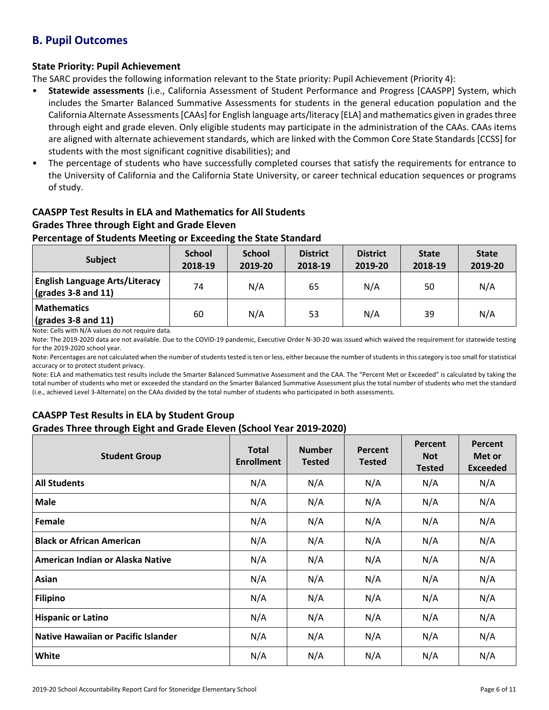# **B. Pupil Outcomes**

### **State Priority: Pupil Achievement**

The SARC provides the following information relevant to the State priority: Pupil Achievement (Priority 4):

- **Statewide assessments** (i.e., California Assessment of Student Performance and Progress [CAASPP] System, which includes the Smarter Balanced Summative Assessments for students in the general education population and the California Alternate Assessments [CAAs] for English language arts/literacy [ELA] and mathematics given in grades three through eight and grade eleven. Only eligible students may participate in the administration of the CAAs. CAAs items are aligned with alternate achievement standards, which are linked with the Common Core State Standards [CCSS] for students with the most significant cognitive disabilities); and
- The percentage of students who have successfully completed courses that satisfy the requirements for entrance to the University of California and the California State University, or career technical education sequences or programs of study.

### **CAASPP Test Results in ELA and Mathematics for All Students Grades Three through Eight and Grade Eleven**

### **Percentage of Students Meeting or Exceeding the State Standard**

| <b>Subject</b>                                                        | <b>School</b><br>2018-19 | <b>School</b><br>2019-20 | <b>District</b><br>2018-19 | <b>District</b><br>2019-20 | <b>State</b><br>2018-19 | <b>State</b><br>2019-20 |
|-----------------------------------------------------------------------|--------------------------|--------------------------|----------------------------|----------------------------|-------------------------|-------------------------|
| <b>English Language Arts/Literacy</b><br>$\sqrt{(grades 3-8 and 11)}$ | 74                       | N/A                      | 65                         | N/A                        | 50                      | N/A                     |
| <b>Mathematics</b><br>$\sqrt{grades}$ 3-8 and 11)                     | 60                       | N/A                      | 53                         | N/A                        | 39                      | N/A                     |

Note: Cells with N/A values do not require data.

Note: The 2019-2020 data are not available. Due to the COVID-19 pandemic, Executive Order N-30-20 was issued which waived the requirement for statewide testing for the 2019-2020 school year.

Note: Percentages are not calculated when the number of students tested is ten or less, either because the number of students in this category is too small for statistical accuracy or to protect student privacy.

Note: ELA and mathematics test results include the Smarter Balanced Summative Assessment and the CAA. The "Percent Met or Exceeded" is calculated by taking the total number of students who met or exceeded the standard on the Smarter Balanced Summative Assessment plus the total number of students who met the standard (i.e., achieved Level 3-Alternate) on the CAAs divided by the total number of students who participated in both assessments.

### **CAASPP Test Results in ELA by Student Group Grades Three through Eight and Grade Eleven (School Year 2019-2020)**

| <b>Student Group</b>                       | <b>Total</b><br><b>Enrollment</b> | <b>Number</b><br><b>Tested</b> | Percent<br><b>Tested</b> | Percent<br><b>Not</b><br><b>Tested</b> | Percent<br>Met or<br><b>Exceeded</b> |
|--------------------------------------------|-----------------------------------|--------------------------------|--------------------------|----------------------------------------|--------------------------------------|
| <b>All Students</b>                        | N/A                               | N/A                            | N/A                      | N/A                                    | N/A                                  |
| <b>Male</b>                                | N/A                               | N/A                            | N/A                      | N/A                                    | N/A                                  |
| Female                                     | N/A                               | N/A                            | N/A                      | N/A                                    | N/A                                  |
| <b>Black or African American</b>           | N/A                               | N/A                            | N/A                      | N/A                                    | N/A                                  |
| American Indian or Alaska Native           | N/A                               | N/A                            | N/A                      | N/A                                    | N/A                                  |
| Asian                                      | N/A                               | N/A                            | N/A                      | N/A                                    | N/A                                  |
| <b>Filipino</b>                            | N/A                               | N/A                            | N/A                      | N/A                                    | N/A                                  |
| <b>Hispanic or Latino</b>                  | N/A                               | N/A                            | N/A                      | N/A                                    | N/A                                  |
| <b>Native Hawaiian or Pacific Islander</b> | N/A                               | N/A                            | N/A                      | N/A                                    | N/A                                  |
| White                                      | N/A                               | N/A                            | N/A                      | N/A                                    | N/A                                  |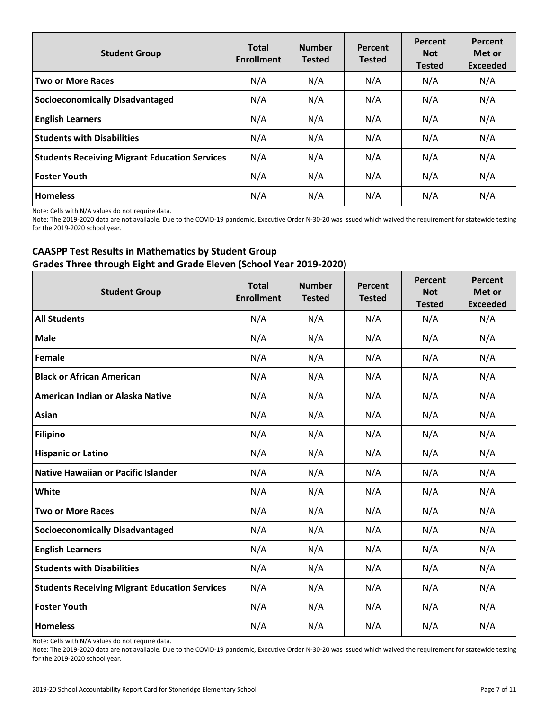| <b>Student Group</b>                                 | <b>Total</b><br><b>Enrollment</b> | <b>Number</b><br><b>Tested</b> | Percent<br><b>Tested</b> | Percent<br><b>Not</b><br><b>Tested</b> | Percent<br>Met or<br><b>Exceeded</b> |
|------------------------------------------------------|-----------------------------------|--------------------------------|--------------------------|----------------------------------------|--------------------------------------|
| <b>Two or More Races</b>                             | N/A                               | N/A                            | N/A                      | N/A                                    | N/A                                  |
| <b>Socioeconomically Disadvantaged</b>               | N/A                               | N/A                            | N/A                      | N/A                                    | N/A                                  |
| <b>English Learners</b>                              | N/A                               | N/A                            | N/A                      | N/A                                    | N/A                                  |
| <b>Students with Disabilities</b>                    | N/A                               | N/A                            | N/A                      | N/A                                    | N/A                                  |
| <b>Students Receiving Migrant Education Services</b> | N/A                               | N/A                            | N/A                      | N/A                                    | N/A                                  |
| Foster Youth                                         | N/A                               | N/A                            | N/A                      | N/A                                    | N/A                                  |
| <b>Homeless</b>                                      | N/A                               | N/A                            | N/A                      | N/A                                    | N/A                                  |

Note: Cells with N/A values do not require data.

Note: The 2019-2020 data are not available. Due to the COVID-19 pandemic, Executive Order N-30-20 was issued which waived the requirement for statewide testing for the 2019-2020 school year.

### **CAASPP Test Results in Mathematics by Student Group Grades Three through Eight and Grade Eleven (School Year 2019-2020)**

| <b>Student Group</b>                                 | <b>Total</b><br><b>Enrollment</b> | <b>Number</b><br><b>Tested</b> | Percent<br><b>Tested</b> | Percent<br><b>Not</b><br><b>Tested</b> | Percent<br>Met or<br><b>Exceeded</b> |
|------------------------------------------------------|-----------------------------------|--------------------------------|--------------------------|----------------------------------------|--------------------------------------|
| <b>All Students</b>                                  | N/A                               | N/A                            | N/A                      | N/A                                    | N/A                                  |
| <b>Male</b>                                          | N/A                               | N/A                            | N/A                      | N/A                                    | N/A                                  |
| Female                                               | N/A                               | N/A                            | N/A                      | N/A                                    | N/A                                  |
| <b>Black or African American</b>                     | N/A                               | N/A                            | N/A                      | N/A                                    | N/A                                  |
| American Indian or Alaska Native                     | N/A                               | N/A                            | N/A                      | N/A                                    | N/A                                  |
| Asian                                                | N/A                               | N/A                            | N/A                      | N/A                                    | N/A                                  |
| <b>Filipino</b>                                      | N/A                               | N/A                            | N/A                      | N/A                                    | N/A                                  |
| <b>Hispanic or Latino</b>                            | N/A                               | N/A                            | N/A                      | N/A                                    | N/A                                  |
| <b>Native Hawaiian or Pacific Islander</b>           | N/A                               | N/A                            | N/A                      | N/A                                    | N/A                                  |
| White                                                | N/A                               | N/A                            | N/A                      | N/A                                    | N/A                                  |
| <b>Two or More Races</b>                             | N/A                               | N/A                            | N/A                      | N/A                                    | N/A                                  |
| <b>Socioeconomically Disadvantaged</b>               | N/A                               | N/A                            | N/A                      | N/A                                    | N/A                                  |
| <b>English Learners</b>                              | N/A                               | N/A                            | N/A                      | N/A                                    | N/A                                  |
| <b>Students with Disabilities</b>                    | N/A                               | N/A                            | N/A                      | N/A                                    | N/A                                  |
| <b>Students Receiving Migrant Education Services</b> | N/A                               | N/A                            | N/A                      | N/A                                    | N/A                                  |
| <b>Foster Youth</b>                                  | N/A                               | N/A                            | N/A                      | N/A                                    | N/A                                  |
| <b>Homeless</b>                                      | N/A                               | N/A                            | N/A                      | N/A                                    | N/A                                  |

Note: Cells with N/A values do not require data.

Note: The 2019-2020 data are not available. Due to the COVID-19 pandemic, Executive Order N-30-20 was issued which waived the requirement for statewide testing for the 2019-2020 school year.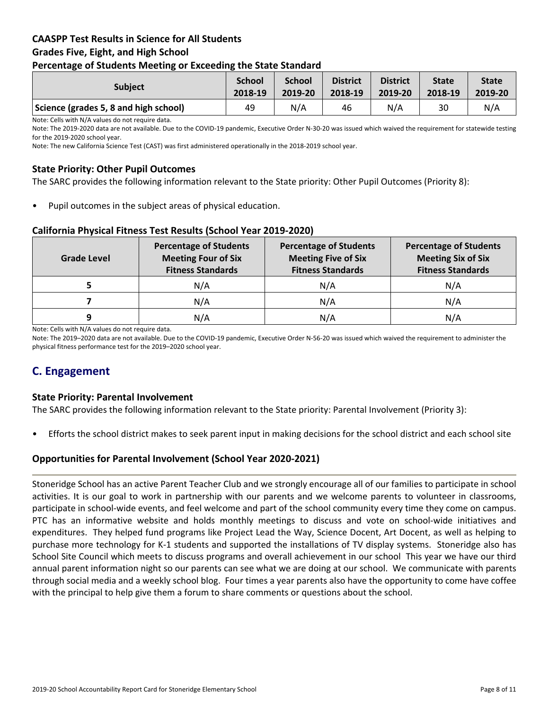### **CAASPP Test Results in Science for All Students Grades Five, Eight, and High School Percentage of Students Meeting or Exceeding the State Standard**

| . .                                   |                          |                          |                            |                            |                         |                         |
|---------------------------------------|--------------------------|--------------------------|----------------------------|----------------------------|-------------------------|-------------------------|
| <b>Subject</b>                        | <b>School</b><br>2018-19 | <b>School</b><br>2019-20 | <b>District</b><br>2018-19 | <b>District</b><br>2019-20 | <b>State</b><br>2018-19 | <b>State</b><br>2019-20 |
| Science (grades 5, 8 and high school) | 49                       | N/A                      | 46                         | N/A                        | 30                      | N/A                     |

Note: Cells with N/A values do not require data.

Note: The 2019-2020 data are not available. Due to the COVID-19 pandemic, Executive Order N-30-20 was issued which waived the requirement for statewide testing for the 2019-2020 school year.

Note: The new California Science Test (CAST) was first administered operationally in the 2018-2019 school year.

### **State Priority: Other Pupil Outcomes**

The SARC provides the following information relevant to the State priority: Other Pupil Outcomes (Priority 8):

Pupil outcomes in the subject areas of physical education.

### **California Physical Fitness Test Results (School Year 2019-2020)**

| <b>Grade Level</b> | <b>Percentage of Students</b><br><b>Meeting Four of Six</b><br><b>Fitness Standards</b> | <b>Percentage of Students</b><br><b>Meeting Five of Six</b><br><b>Fitness Standards</b> | <b>Percentage of Students</b><br><b>Meeting Six of Six</b><br><b>Fitness Standards</b> |  |
|--------------------|-----------------------------------------------------------------------------------------|-----------------------------------------------------------------------------------------|----------------------------------------------------------------------------------------|--|
|                    | N/A                                                                                     | N/A                                                                                     | N/A                                                                                    |  |
|                    | N/A                                                                                     | N/A                                                                                     | N/A                                                                                    |  |
| q                  | N/A                                                                                     | N/A                                                                                     | N/A                                                                                    |  |

Note: Cells with N/A values do not require data.

Note: The 2019–2020 data are not available. Due to the COVID-19 pandemic, Executive Order N-56-20 was issued which waived the requirement to administer the physical fitness performance test for the 2019–2020 school year.

# **C. Engagement**

### **State Priority: Parental Involvement**

The SARC provides the following information relevant to the State priority: Parental Involvement (Priority 3):

• Efforts the school district makes to seek parent input in making decisions for the school district and each school site

### **Opportunities for Parental Involvement (School Year 2020-2021)**

Stoneridge School has an active Parent Teacher Club and we strongly encourage all of our families to participate in school activities. It is our goal to work in partnership with our parents and we welcome parents to volunteer in classrooms, participate in school-wide events, and feel welcome and part of the school community every time they come on campus. PTC has an informative website and holds monthly meetings to discuss and vote on school-wide initiatives and expenditures. They helped fund programs like Project Lead the Way, Science Docent, Art Docent, as well as helping to purchase more technology for K-1 students and supported the installations of TV display systems. Stoneridge also has School Site Council which meets to discuss programs and overall achievement in our school This year we have our third annual parent information night so our parents can see what we are doing at our school. We communicate with parents through social media and a weekly school blog. Four times a year parents also have the opportunity to come have coffee with the principal to help give them a forum to share comments or questions about the school.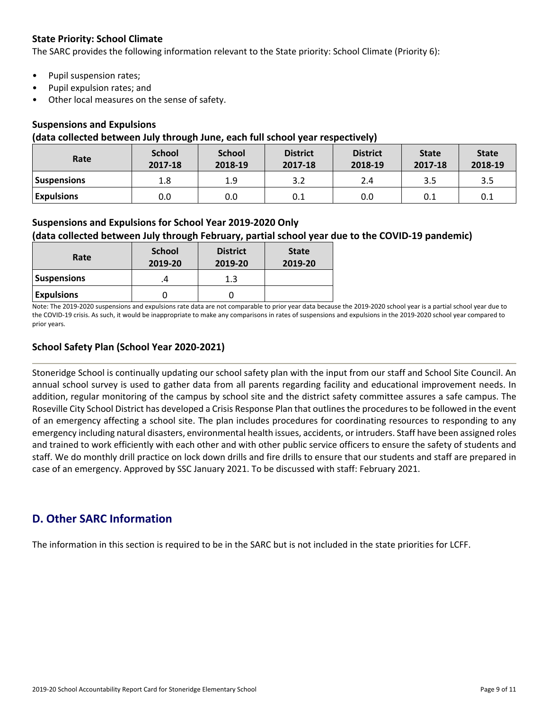### **State Priority: School Climate**

The SARC provides the following information relevant to the State priority: School Climate (Priority 6):

- Pupil suspension rates;
- Pupil expulsion rates; and
- Other local measures on the sense of safety.

### **Suspensions and Expulsions**

#### **(data collected between July through June, each full school year respectively)**

| Rate               | <b>School</b><br>2017-18 | <b>School</b><br>2018-19 | <b>District</b><br>2017-18 | <b>District</b><br>2018-19 | <b>State</b><br>2017-18 | <b>State</b><br>2018-19 |
|--------------------|--------------------------|--------------------------|----------------------------|----------------------------|-------------------------|-------------------------|
| <b>Suspensions</b> | 1.8                      | 1.9                      | 3.2                        | 2.4                        | 3.5                     | 3.5                     |
| <b>Expulsions</b>  | 0.0                      | 0.0                      | 0.1                        | 0.0                        | 0.1                     | 0.1                     |

### **Suspensions and Expulsions for School Year 2019-2020 Only**

### **(data collected between July through February, partial school year due to the COVID-19 pandemic)**

| Rate               | <b>School</b><br>2019-20 | <b>District</b><br>2019-20 | <b>State</b><br>2019-20 |
|--------------------|--------------------------|----------------------------|-------------------------|
| <b>Suspensions</b> |                          | 1.3                        |                         |
| <b>Expulsions</b>  |                          |                            |                         |

Note: The 2019-2020 suspensions and expulsions rate data are not comparable to prior year data because the 2019-2020 school year is a partial school year due to the COVID-19 crisis. As such, it would be inappropriate to make any comparisons in rates of suspensions and expulsions in the 2019-2020 school year compared to prior years.

### **School Safety Plan (School Year 2020-2021)**

Stoneridge School is continually updating our school safety plan with the input from our staff and School Site Council. An annual school survey is used to gather data from all parents regarding facility and educational improvement needs. In addition, regular monitoring of the campus by school site and the district safety committee assures a safe campus. The Roseville City School District has developed a Crisis Response Plan that outlinesthe proceduresto be followed in the event of an emergency affecting a school site. The plan includes procedures for coordinating resources to responding to any emergency including natural disasters, environmental health issues, accidents, or intruders. Staff have been assigned roles and trained to work efficiently with each other and with other public service officers to ensure the safety of students and staff. We do monthly drill practice on lock down drills and fire drills to ensure that our students and staff are prepared in case of an emergency. Approved by SSC January 2021. To be discussed with staff: February 2021.

# **D. Other SARC Information**

The information in this section is required to be in the SARC but is not included in the state priorities for LCFF.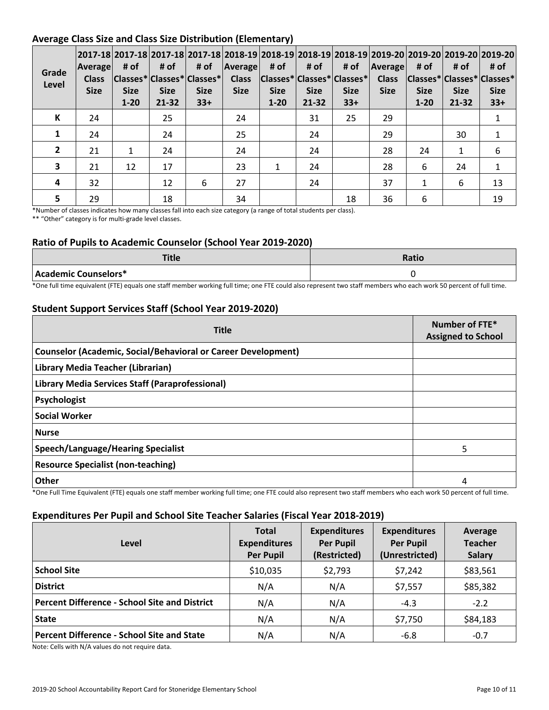### **Average Class Size and Class Size Distribution (Elementary)**

| Grade<br>Level | 2017-18 2017-18 2017-18 2017-18 2018-19 2018-19 2018-19 2018-19 2019-20 2019-20 2019-20 2019-20 2019-20<br> Average <br><b>Class</b><br><b>Size</b> | # of<br><b>Size</b><br>$1 - 20$ | # of<br><b>Size</b><br>$21 - 32$ | # of<br> Classes* Classes* Classes* <br><b>Size</b><br>$33+$ | Average<br><b>Class</b><br><b>Size</b> | # of<br><b>Size</b><br>$1 - 20$ | # of<br><b>Size</b><br>$21 - 32$ | # of<br> Classes* Classes* Classes* <br><b>Size</b><br>$33+$ | <b>Average</b><br><b>Class</b><br><b>Size</b> | # of<br> Classes* Classes* Classes*<br><b>Size</b><br>$1 - 20$ | # of<br><b>Size</b><br>21-32 | # of<br><b>Size</b><br>$33+$ |
|----------------|-----------------------------------------------------------------------------------------------------------------------------------------------------|---------------------------------|----------------------------------|--------------------------------------------------------------|----------------------------------------|---------------------------------|----------------------------------|--------------------------------------------------------------|-----------------------------------------------|----------------------------------------------------------------|------------------------------|------------------------------|
| K              | 24                                                                                                                                                  |                                 | 25                               |                                                              | 24                                     |                                 | 31                               | 25                                                           | 29                                            |                                                                |                              | $\mathbf{1}$                 |
|                | 24                                                                                                                                                  |                                 | 24                               |                                                              | 25                                     |                                 | 24                               |                                                              | 29                                            |                                                                | 30                           | $\mathbf{1}$                 |
| $\overline{2}$ | 21                                                                                                                                                  | 1                               | 24                               |                                                              | 24                                     |                                 | 24                               |                                                              | 28                                            | 24                                                             | $\mathbf{1}$                 | 6                            |
| 3              | 21                                                                                                                                                  | 12                              | 17                               |                                                              | 23                                     | 1                               | 24                               |                                                              | 28                                            | 6                                                              | 24                           | $\mathbf{1}$                 |
| 4              | 32                                                                                                                                                  |                                 | 12                               | 6                                                            | 27                                     |                                 | 24                               |                                                              | 37                                            | 1                                                              | 6                            | 13                           |
| 5              | 29                                                                                                                                                  |                                 | 18                               |                                                              | 34                                     |                                 |                                  | 18                                                           | 36                                            | 6                                                              |                              | 19                           |

\*Number of classes indicates how many classes fall into each size category (a range of total students per class). \*\* "Other" category is for multi-grade level classes.

### **Ratio of Pupils to Academic Counselor (School Year 2019-2020)**

| <b>Title</b>         | <b>Ratio</b> |
|----------------------|--------------|
| Academic Counselors* |              |

\*One full time equivalent (FTE) equals one staff member working full time; one FTE could also represent two staff members who each work 50 percent of full time.

### **Student Support Services Staff (School Year 2019-2020)**

| <b>Title</b>                                                         | Number of FTE*<br><b>Assigned to School</b> |
|----------------------------------------------------------------------|---------------------------------------------|
| <b>Counselor (Academic, Social/Behavioral or Career Development)</b> |                                             |
| Library Media Teacher (Librarian)                                    |                                             |
| Library Media Services Staff (Paraprofessional)                      |                                             |
| Psychologist                                                         |                                             |
| <b>Social Worker</b>                                                 |                                             |
| <b>Nurse</b>                                                         |                                             |
| Speech/Language/Hearing Specialist                                   | 5                                           |
| <b>Resource Specialist (non-teaching)</b>                            |                                             |
| Other                                                                | 4                                           |

\*One Full Time Equivalent (FTE) equals one staff member working full time; one FTE could also represent two staff members who each work 50 percent of full time.

### **Expenditures Per Pupil and School Site Teacher Salaries (Fiscal Year 2018-2019)**

| Level                                                | <b>Total</b><br><b>Expenditures</b><br><b>Per Pupil</b> | <b>Expenditures</b><br><b>Per Pupil</b><br>(Restricted) | <b>Expenditures</b><br><b>Per Pupil</b><br>(Unrestricted) | Average<br><b>Teacher</b><br><b>Salary</b> |
|------------------------------------------------------|---------------------------------------------------------|---------------------------------------------------------|-----------------------------------------------------------|--------------------------------------------|
| <b>School Site</b>                                   | \$10,035                                                | \$2,793                                                 | \$7,242                                                   | \$83,561                                   |
| <b>District</b>                                      | N/A                                                     | N/A                                                     | \$7,557                                                   | \$85,382                                   |
| <b>Percent Difference - School Site and District</b> | N/A                                                     | N/A                                                     | $-4.3$                                                    | $-2.2$                                     |
| <b>State</b>                                         | N/A                                                     | N/A                                                     | \$7,750                                                   | \$84,183                                   |
| <b>Percent Difference - School Site and State</b>    | N/A                                                     | N/A                                                     | $-6.8$                                                    | $-0.7$                                     |

Note: Cells with N/A values do not require data.